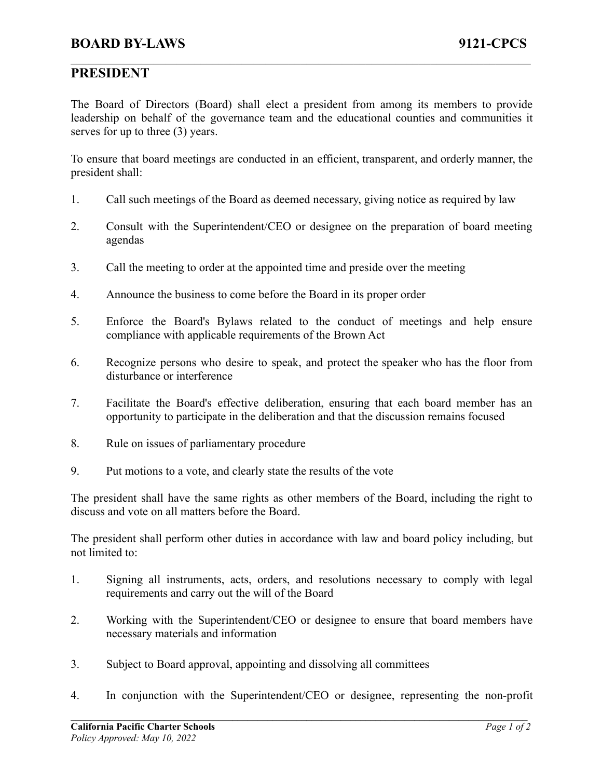## **PRESIDENT**

The Board of Directors (Board) shall elect a president from among its members to provide leadership on behalf of the governance team and the educational counties and communities it serves for up to three (3) years.

 $\mathcal{L}_\mathcal{L} = \{ \mathcal{L}_\mathcal{L} = \{ \mathcal{L}_\mathcal{L} = \{ \mathcal{L}_\mathcal{L} = \{ \mathcal{L}_\mathcal{L} = \{ \mathcal{L}_\mathcal{L} = \{ \mathcal{L}_\mathcal{L} = \{ \mathcal{L}_\mathcal{L} = \{ \mathcal{L}_\mathcal{L} = \{ \mathcal{L}_\mathcal{L} = \{ \mathcal{L}_\mathcal{L} = \{ \mathcal{L}_\mathcal{L} = \{ \mathcal{L}_\mathcal{L} = \{ \mathcal{L}_\mathcal{L} = \{ \mathcal{L}_\mathcal{$ 

To ensure that board meetings are conducted in an efficient, transparent, and orderly manner, the president shall:

- 1. Call such meetings of the Board as deemed necessary, giving notice as required by law
- 2. Consult with the Superintendent/CEO or designee on the preparation of board meeting agendas
- 3. Call the meeting to order at the appointed time and preside over the meeting
- 4. Announce the business to come before the Board in its proper order
- 5. Enforce the Board's Bylaws related to the conduct of meetings and help ensure compliance with applicable requirements of the Brown Act
- 6. Recognize persons who desire to speak, and protect the speaker who has the floor from disturbance or interference
- 7. Facilitate the Board's effective deliberation, ensuring that each board member has an opportunity to participate in the deliberation and that the discussion remains focused
- 8. Rule on issues of parliamentary procedure
- 9. Put motions to a vote, and clearly state the results of the vote

The president shall have the same rights as other members of the Board, including the right to discuss and vote on all matters before the Board.

The president shall perform other duties in accordance with law and board policy including, but not limited to:

- 1. Signing all instruments, acts, orders, and resolutions necessary to comply with legal requirements and carry out the will of the Board
- 2. Working with the Superintendent/CEO or designee to ensure that board members have necessary materials and information
- 3. Subject to Board approval, appointing and dissolving all committees
- 4. In conjunction with the Superintendent/CEO or designee, representing the non-profit

 $\mathcal{L}_\mathcal{L} = \{ \mathcal{L}_\mathcal{L} = \{ \mathcal{L}_\mathcal{L} = \{ \mathcal{L}_\mathcal{L} = \{ \mathcal{L}_\mathcal{L} = \{ \mathcal{L}_\mathcal{L} = \{ \mathcal{L}_\mathcal{L} = \{ \mathcal{L}_\mathcal{L} = \{ \mathcal{L}_\mathcal{L} = \{ \mathcal{L}_\mathcal{L} = \{ \mathcal{L}_\mathcal{L} = \{ \mathcal{L}_\mathcal{L} = \{ \mathcal{L}_\mathcal{L} = \{ \mathcal{L}_\mathcal{L} = \{ \mathcal{L}_\mathcal{$